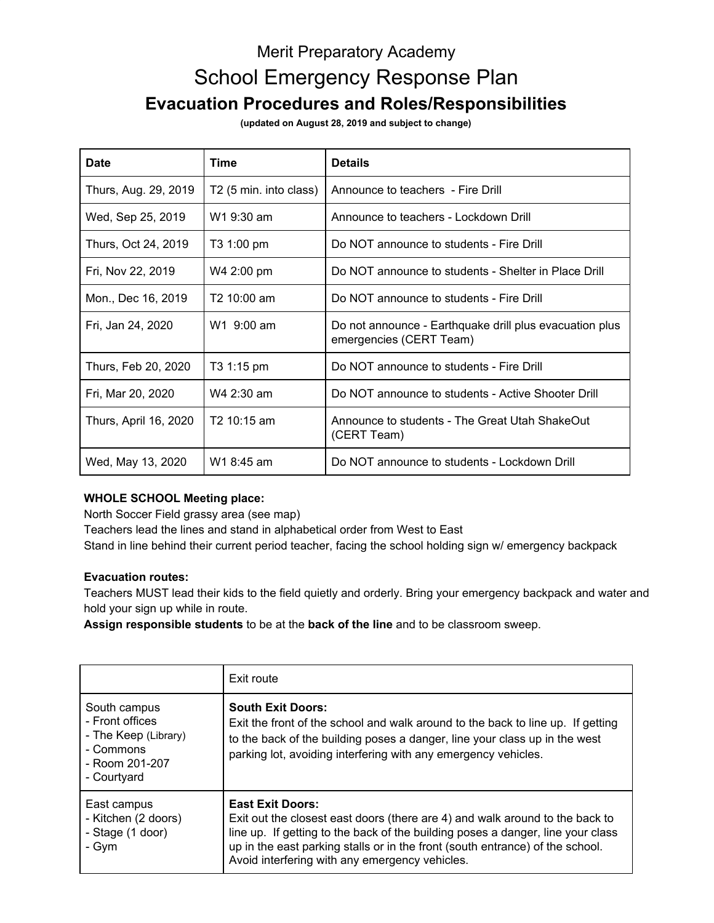# Merit Preparatory Academy School Emergency Response Plan **Evacuation Procedures and Roles/Responsibilities**

**(updated on August 28, 2019 and subject to change)**

| Date                  | Time                               | <b>Details</b>                                                                     |
|-----------------------|------------------------------------|------------------------------------------------------------------------------------|
| Thurs, Aug. 29, 2019  | T <sub>2</sub> (5 min. into class) | Announce to teachers - Fire Drill                                                  |
| Wed, Sep 25, 2019     | W1 9:30 am                         | Announce to teachers - Lockdown Drill                                              |
| Thurs, Oct 24, 2019   | T3 1:00 pm                         | Do NOT announce to students - Fire Drill                                           |
| Fri, Nov 22, 2019     | W4 2:00 pm                         | Do NOT announce to students - Shelter in Place Drill                               |
| Mon., Dec 16, 2019    | T <sub>2</sub> 10:00 am            | Do NOT announce to students - Fire Drill                                           |
| Fri, Jan 24, 2020     | W1 9:00 am                         | Do not announce - Earthquake drill plus evacuation plus<br>emergencies (CERT Team) |
| Thurs, Feb 20, 2020   | T3 1:15 pm                         | Do NOT announce to students - Fire Drill                                           |
| Fri, Mar 20, 2020     | W4 2:30 am                         | Do NOT announce to students - Active Shooter Drill                                 |
| Thurs, April 16, 2020 | T <sub>2</sub> 10:15 am            | Announce to students - The Great Utah ShakeOut<br>(CERT Team)                      |
| Wed, May 13, 2020     | W1 8:45 am                         | Do NOT announce to students - Lockdown Drill                                       |

### **WHOLE SCHOOL Meeting place:**

North Soccer Field grassy area (see map)

Teachers lead the lines and stand in alphabetical order from West to East

Stand in line behind their current period teacher, facing the school holding sign w/ emergency backpack

#### **Evacuation routes:**

Teachers MUST lead their kids to the field quietly and orderly. Bring your emergency backpack and water and hold your sign up while in route.

**Assign responsible students** to be at the **back of the line** and to be classroom sweep.

|                                                                                                       | Exit route                                                                                                                                                                                                                                                                                                                    |
|-------------------------------------------------------------------------------------------------------|-------------------------------------------------------------------------------------------------------------------------------------------------------------------------------------------------------------------------------------------------------------------------------------------------------------------------------|
| South campus<br>- Front offices<br>- The Keep (Library)<br>- Commons<br>- Room 201-207<br>- Courtyard | <b>South Exit Doors:</b><br>Exit the front of the school and walk around to the back to line up. If getting<br>to the back of the building poses a danger, line your class up in the west<br>parking lot, avoiding interfering with any emergency vehicles.                                                                   |
| East campus<br>- Kitchen (2 doors)<br>- Stage (1 door)<br>- Gym                                       | <b>East Exit Doors:</b><br>Exit out the closest east doors (there are 4) and walk around to the back to<br>line up. If getting to the back of the building poses a danger, line your class<br>up in the east parking stalls or in the front (south entrance) of the school.<br>Avoid interfering with any emergency vehicles. |